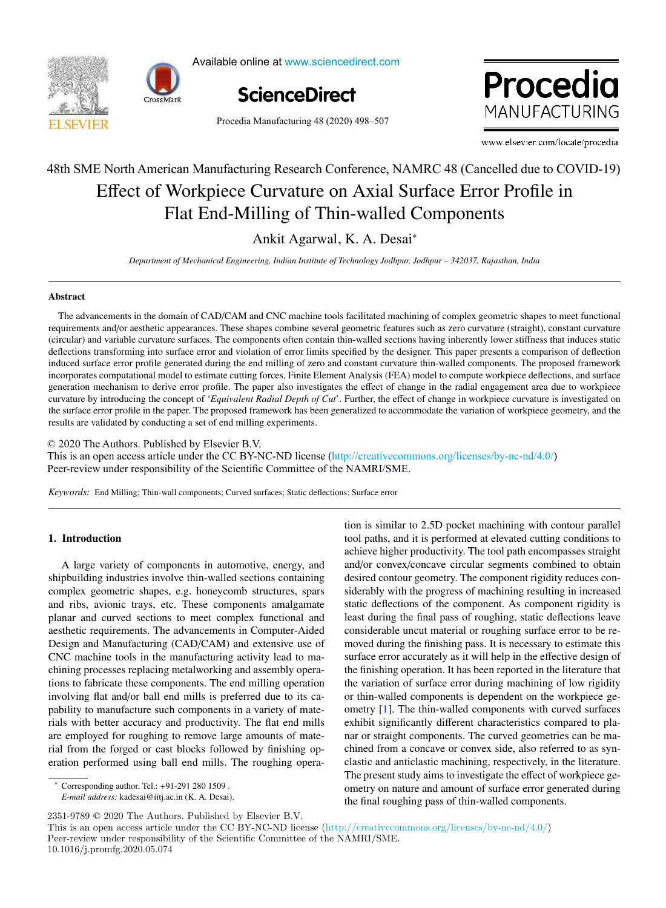



Available online at www.sciencedirect.com



Procedia MANUFACTURING

Procedia Manufacturing 48 (2020) 498–507

www.elsevier.com/locate/procedia

# Effect of Workpiece Curvature on Axial Surface Error Profile in Flat End-Milling of Thin-walled Components 48th SME North American Manufacturing Research Conference, NAMRC 48 (Cancelled due to COVID-19)

# Ankit Agarwal, K. A. Desai<sup>∗</sup>

*Department of Mechanical Engineering, Indian Institute of Technology Jodhpur, Jodhpur – 342037, Rajasthan, India*

## Abstract

The advancements in the domain of CAD/CAM and CNC machine tools facilitated machining of complex geometric shapes to meet functional requirements and/or aesthetic appearances. These shapes combine several geometric features such as zero curvature (straight), constant curvature (circular) and variable curvature surfaces. The components often contain thin-walled sections having inherently lower stiffness that induces static deflections transforming into surface error and violation of error limits specified by the designer. This paper presents a comparison of deflection induced surface error profile generated during the end milling of zero and constant curvature thin-walled components. The proposed framework incorporates computational model to estimate cutting forces, Finite Element Analysis (FEA) model to compute workpiece deflections, and surface generation mechanism to derive error profile. The paper also investigates the effect of change in the radial engagement area due to workpiece curvature by introducing the concept of '*Equivalent Radial Depth of Cut*'. Further, the effect of change in workpiece curvature is investigated on the surface error profile in the paper. The proposed framework has been generalized to accommodate the variation of workpiece geometry, and the results are validated by conducting a set of end milling experiments.

© 2020 The Authors. Published by Elsevier B.V.

This is an open access article under the CC BY-NC-ND license (http://creativecommons.org/licenses/by-nc-nd/4.0/) Peer-review under responsibility of the Scientific Committee of the NAMRI/SME.

*Keywords:* End Milling; Thin-wall components; Curved surfaces; Static deflections; Surface error

## 1. Introduction

A large variety of components in automotive, energy, and shipbuilding industries involve thin-walled sections containing complex geometric shapes, e.g. honeycomb structures, spars and ribs, avionic trays, etc. These components amalgamate planar and curved sections to meet complex functional and aesthetic requirements. The advancements in Computer-Aided Design and Manufacturing (CAD/CAM) and extensive use of CNC machine tools in the manufacturing activity lead to machining processes replacing metalworking and assembly operations to fabricate these components. The end milling operation involving flat and/or ball end mills is preferred due to its capability to manufacture such components in a variety of materials with better accuracy and productivity. The flat end mills are employed for roughing to remove large amounts of material from the forged or cast blocks followed by finishing operation performed using ball end mills. The roughing opera-

<sup>∗</sup> Corresponding author. Tel.: +91-291 280 1509 .

*E-mail address:* kadesai@iitj.ac.in (K. A. Desai).

achieve higher productivity. The tool path encompasses straight and/or convex/concave circular segments combined to obtain desired contour geometry. The component rigidity reduces considerably with the progress of machining resulting in increased static deflections of the component. As component rigidity is least during the final pass of roughing, static deflections leave considerable uncut material or roughing surface error to be removed during the finishing pass. It is necessary to estimate this surface error accurately as it will help in the effective design of the finishing operation. It has been reported in the literature that the variation of surface error during machining of low rigidity or thin-walled components is dependent on the workpiece geometry [1]. The thin-walled components with curved surfaces exhibit significantly different characteristics compared to planar or straight components. The curved geometries can be machined from a concave or convex side, also referred to as synclastic and anticlastic machining, respectively, in the literature. The present study aims to investigate the effect of workpiece geometry on nature and amount of surface error generated during the final roughing pass of thin-walled components.

tion is similar to 2.5D pocket machining with contour parallel tool paths, and it is performed at elevated cutting conditions to

2351-9789 © 2020 The Authors. Published by Elsevier B.V.

This is an open access article under the CC BY-NC-ND license (http://creativecommons.org/licenses/by-nc-nd/4.0/) Peer-review under responsibility of the Scientific Committee of the NAMRI/SME. 10.1016/j.promfg.2020.05.074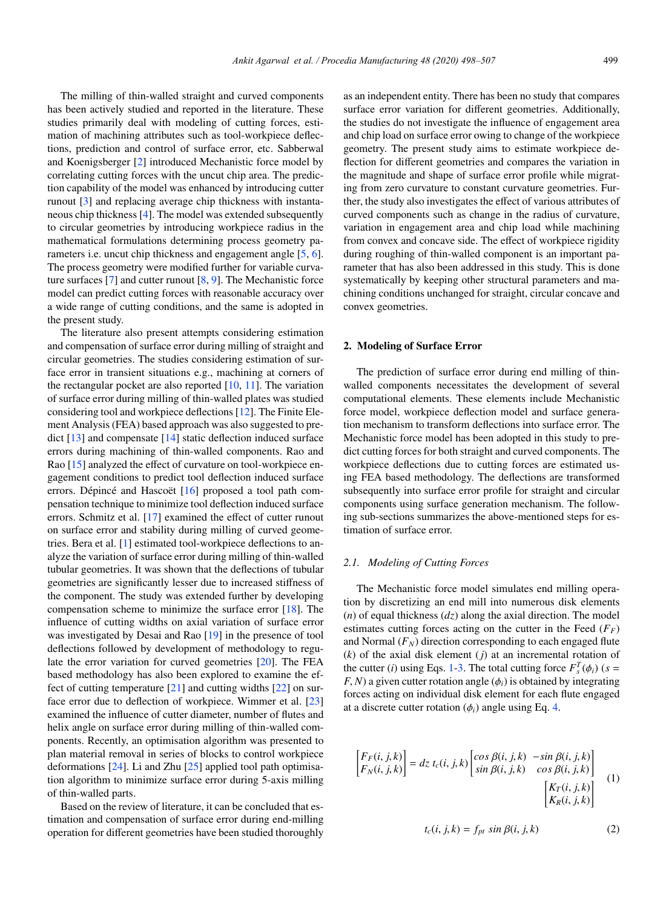The milling of thin-walled straight and curved components has been actively studied and reported in the literature. These studies primarily deal with modeling of cutting forces, estimation of machining attributes such as tool-workpiece deflections, prediction and control of surface error, etc. Sabberwal and Koenigsberger [2] introduced Mechanistic force model by correlating cutting forces with the uncut chip area. The prediction capability of the model was enhanced by introducing cutter runout [3] and replacing average chip thickness with instantaneous chip thickness [4]. The model was extended subsequently to circular geometries by introducing workpiece radius in the mathematical formulations determining process geometry parameters i.e. uncut chip thickness and engagement angle [5, 6]. The process geometry were modified further for variable curvature surfaces [7] and cutter runout [8, 9]. The Mechanistic force model can predict cutting forces with reasonable accuracy over a wide range of cutting conditions, and the same is adopted in the present study.

The literature also present attempts considering estimation and compensation of surface error during milling of straight and circular geometries. The studies considering estimation of surface error in transient situations e.g., machining at corners of the rectangular pocket are also reported  $[10, 11]$ . The variation of surface error during milling of thin-walled plates was studied considering tool and workpiece deflections [12]. The Finite Element Analysis (FEA) based approach was also suggested to predict [13] and compensate [14] static deflection induced surface errors during machining of thin-walled components. Rao and Rao [15] analyzed the effect of curvature on tool-workpiece engagement conditions to predict tool deflection induced surface errors. Dépincé and Hascoët [16] proposed a tool path compensation technique to minimize tool deflection induced surface errors. Schmitz et al. [17] examined the effect of cutter runout on surface error and stability during milling of curved geometries. Bera et al. [1] estimated tool-workpiece deflections to analyze the variation of surface error during milling of thin-walled tubular geometries. It was shown that the deflections of tubular geometries are significantly lesser due to increased stiffness of the component. The study was extended further by developing compensation scheme to minimize the surface error [18]. The influence of cutting widths on axial variation of surface error was investigated by Desai and Rao [19] in the presence of tool deflections followed by development of methodology to regulate the error variation for curved geometries [20]. The FEA based methodology has also been explored to examine the effect of cutting temperature  $[21]$  and cutting widths  $[22]$  on surface error due to deflection of workpiece. Wimmer et al. [23] examined the influence of cutter diameter, number of flutes and helix angle on surface error during milling of thin-walled components. Recently, an optimisation algorithm was presented to plan material removal in series of blocks to control workpiece deformations [24]. Li and Zhu [25] applied tool path optimisation algorithm to minimize surface error during 5-axis milling of thin-walled parts.

Based on the review of literature, it can be concluded that estimation and compensation of surface error during end-milling operation for different geometries have been studied thoroughly as an independent entity. There has been no study that compares surface error variation for different geometries. Additionally, the studies do not investigate the influence of engagement area and chip load on surface error owing to change of the workpiece geometry. The present study aims to estimate workpiece deflection for different geometries and compares the variation in the magnitude and shape of surface error profile while migrating from zero curvature to constant curvature geometries. Further, the study also investigates the effect of various attributes of curved components such as change in the radius of curvature, variation in engagement area and chip load while machining from convex and concave side. The effect of workpiece rigidity during roughing of thin-walled component is an important parameter that has also been addressed in this study. This is done systematically by keeping other structural parameters and machining conditions unchanged for straight, circular concave and convex geometries.

#### 2. Modeling of Surface Error

The prediction of surface error during end milling of thinwalled components necessitates the development of several computational elements. These elements include Mechanistic force model, workpiece deflection model and surface generation mechanism to transform deflections into surface error. The Mechanistic force model has been adopted in this study to predict cutting forces for both straight and curved components. The workpiece deflections due to cutting forces are estimated using FEA based methodology. The deflections are transformed subsequently into surface error profile for straight and circular components using surface generation mechanism. The following sub-sections summarizes the above-mentioned steps for estimation of surface error.

#### *2.1. Modeling of Cutting Forces*

The Mechanistic force model simulates end milling operation by discretizing an end mill into numerous disk elements (*n*) of equal thickness (*dz*) along the axial direction. The model estimates cutting forces acting on the cutter in the Feed  $(F_F)$ and Normal  $(F_N)$  direction corresponding to each engaged flute (*k*) of the axial disk element (*j*) at an incremental rotation of the cutter (*i*) using Eqs. 1-3. The total cutting force  $F_s^T(\phi_i)$  ( $s =$  $F, N$ ) a given cutter rotation angle  $(\phi_i)$  is obtained by integrating forces acting on individual disk element for each flute engaged at a discrete cutter rotation  $(\phi_i)$  angle using Eq. 4.

$$
\begin{bmatrix} F_F(i,j,k) \\ F_N(i,j,k) \end{bmatrix} = dz \ t_c(i,j,k) \begin{bmatrix} \cos \beta(i,j,k) & -\sin \beta(i,j,k) \\ \sin \beta(i,j,k) & \cos \beta(i,j,k) \end{bmatrix}
$$
\n
$$
\begin{bmatrix} K_T(i,j,k) \\ K_R(i,j,k) \end{bmatrix}
$$
\n(1)

$$
t_c(i, j, k) = f_{pt} \sin \beta(i, j, k)
$$
 (2)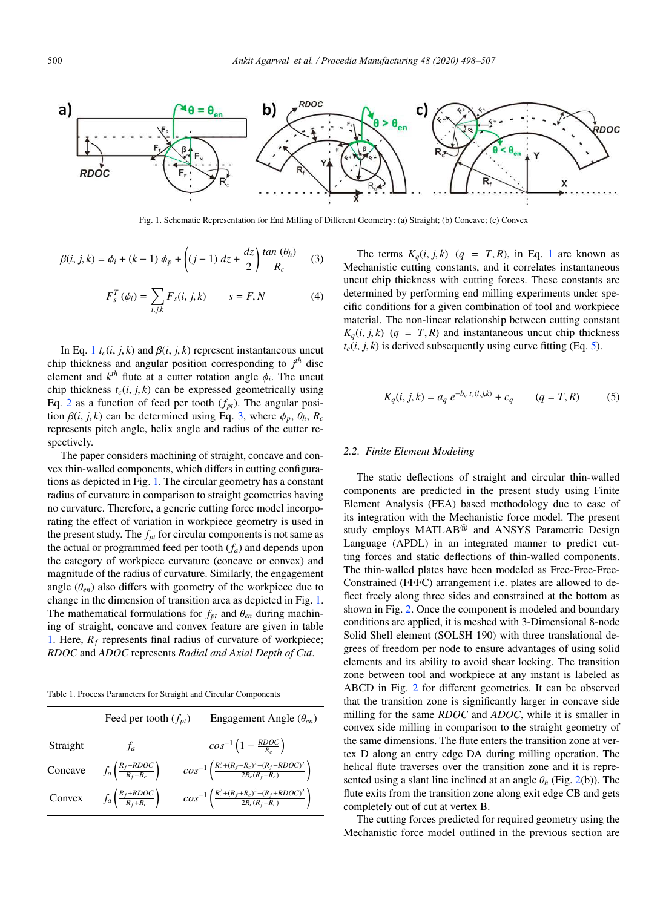

Fig. 1. Schematic Representation for End Milling of Different Geometry: (a) Straight; (b) Concave; (c) Convex

$$
\beta(i, j, k) = \phi_i + (k - 1) \phi_p + \left( (j - 1) dz + \frac{dz}{2} \right) \frac{\tan (\theta_h)}{R_c}
$$
 (3)

$$
F_s^T(\phi_i) = \sum_{i,j,k} F_s(i,j,k) \qquad s = F, N \tag{4}
$$

In Eq. 1  $t_c(i, j, k)$  and  $\beta(i, j, k)$  represent instantaneous uncut chip thickness and angular position corresponding to  $j<sup>th</sup>$  disc element and  $k^{th}$  flute at a cutter rotation angle  $\phi_i$ . The uncut chip thickness  $t_c(i, j, k)$  can be expressed geometrically using Eq. 2 as a function of feed per tooth  $(f_{pt})$ . The angular position  $\beta(i, j, k)$  can be determined using Eq. 3, where  $\phi_p$ ,  $\theta_h$ ,  $R_c$ represents pitch angle, helix angle and radius of the cutter respectively.

The paper considers machining of straight, concave and convex thin-walled components, which differs in cutting configurations as depicted in Fig. 1. The circular geometry has a constant radius of curvature in comparison to straight geometries having no curvature. Therefore, a generic cutting force model incorporating the effect of variation in workpiece geometry is used in the present study. The  $f_{pt}$  for circular components is not same as the actual or programmed feed per tooth (*fa*) and depends upon the category of workpiece curvature (concave or convex) and magnitude of the radius of curvature. Similarly, the engagement angle  $(\theta_{en})$  also differs with geometry of the workpiece due to change in the dimension of transition area as depicted in Fig. 1. The mathematical formulations for  $f<sub>pt</sub>$  and  $\theta<sub>en</sub>$  during machining of straight, concave and convex feature are given in table 1. Here,  $R_f$  represents final radius of curvature of workpiece; *RDOC* and *ADOC* represents *Radial and Axial Depth of Cut*.

Table 1. Process Parameters for Straight and Circular Components

|          | Feed per tooth $(f_{nt})$                      | Engagement Angle $(\theta_{en})$                                                      |
|----------|------------------------------------------------|---------------------------------------------------------------------------------------|
| Straight | $f_a$                                          | $cos^{-1}(1 - \frac{RDOC}{R})$                                                        |
| Concave  | $f_a\left(\frac{R_f - RDOC}{R_f - R_c}\right)$ | $cos^{-1}\left(\frac{R_c^2 + (R_f - R_c)^2 - (R_f - RDOC)^2}{2R_c(R_f - R_c)}\right)$ |
| Convex   | $f_a\left(\frac{R_f+RDOC}{R_f+R_c}\right)$     | $cos^{-1}\left(\frac{R_c^2 + (R_f + R_c)^2 - (R_f + RDOC)^2}{2R_c(R_f + R_c)}\right)$ |

The terms  $K_q(i, j, k)$  ( $q = T, R$ ), in Eq. 1 are known as Mechanistic cutting constants, and it correlates instantaneous uncut chip thickness with cutting forces. These constants are determined by performing end milling experiments under specific conditions for a given combination of tool and workpiece material. The non-linear relationship between cutting constant  $K_a(i, j, k)$  (*q* = *T*, *R*) and instantaneous uncut chip thickness  $t_c(i, j, k)$  is derived subsequently using curve fitting (Eq. 5).

$$
K_q(i, j, k) = a_q e^{-b_q t_c(i, j, k)} + c_q \qquad (q = T, R) \tag{5}
$$

#### *2.2. Finite Element Modeling*

The static deflections of straight and circular thin-walled components are predicted in the present study using Finite Element Analysis (FEA) based methodology due to ease of its integration with the Mechanistic force model. The present study employs MATLAB<sup>®</sup> and ANSYS Parametric Design Language (APDL) in an integrated manner to predict cutting forces and static deflections of thin-walled components. The thin-walled plates have been modeled as Free-Free-Free-Constrained (FFFC) arrangement i.e. plates are allowed to deflect freely along three sides and constrained at the bottom as shown in Fig. 2. Once the component is modeled and boundary conditions are applied, it is meshed with 3-Dimensional 8-node Solid Shell element (SOLSH 190) with three translational degrees of freedom per node to ensure advantages of using solid elements and its ability to avoid shear locking. The transition zone between tool and workpiece at any instant is labeled as ABCD in Fig. 2 for different geometries. It can be observed that the transition zone is significantly larger in concave side milling for the same *RDOC* and *ADOC*, while it is smaller in convex side milling in comparison to the straight geometry of the same dimensions. The flute enters the transition zone at vertex D along an entry edge DA during milling operation. The helical flute traverses over the transition zone and it is represented using a slant line inclined at an angle  $\theta_h$  (Fig. 2(b)). The flute exits from the transition zone along exit edge CB and gets completely out of cut at vertex B.

The cutting forces predicted for required geometry using the Mechanistic force model outlined in the previous section are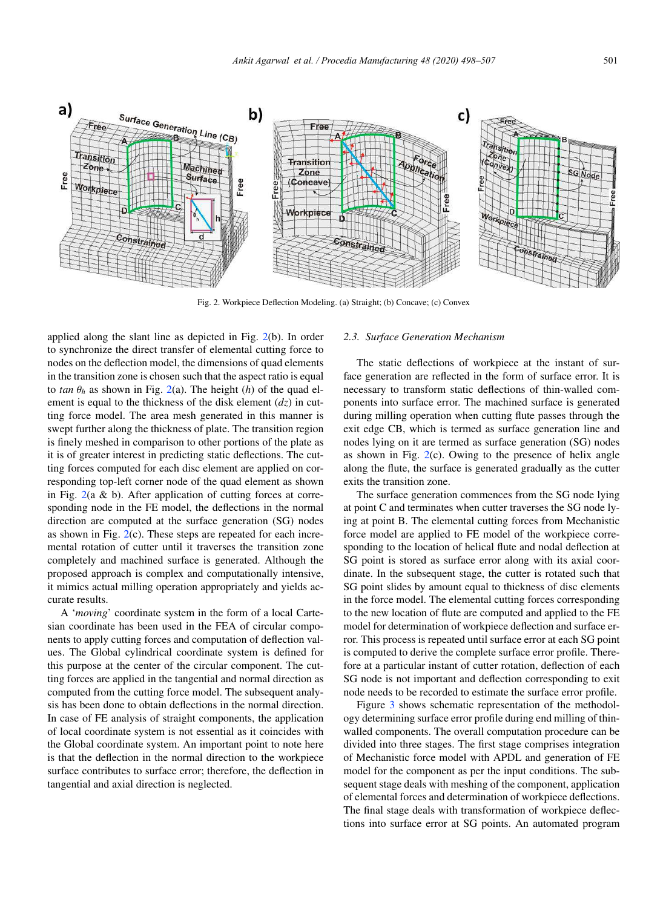

Fig. 2. Workpiece Deflection Modeling. (a) Straight; (b) Concave; (c) Convex

applied along the slant line as depicted in Fig. 2(b). In order to synchronize the direct transfer of elemental cutting force to nodes on the deflection model, the dimensions of quad elements in the transition zone is chosen such that the aspect ratio is equal to *tan*  $\theta_h$  as shown in Fig. 2(a). The height (*h*) of the quad element is equal to the thickness of the disk element (*dz*) in cutting force model. The area mesh generated in this manner is swept further along the thickness of plate. The transition region is finely meshed in comparison to other portions of the plate as it is of greater interest in predicting static deflections. The cutting forces computed for each disc element are applied on corresponding top-left corner node of the quad element as shown in Fig.  $2(a \& b)$ . After application of cutting forces at corresponding node in the FE model, the deflections in the normal direction are computed at the surface generation (SG) nodes as shown in Fig.  $2(c)$ . These steps are repeated for each incremental rotation of cutter until it traverses the transition zone completely and machined surface is generated. Although the proposed approach is complex and computationally intensive, it mimics actual milling operation appropriately and yields accurate results.

A '*moving*' coordinate system in the form of a local Cartesian coordinate has been used in the FEA of circular components to apply cutting forces and computation of deflection values. The Global cylindrical coordinate system is defined for this purpose at the center of the circular component. The cutting forces are applied in the tangential and normal direction as computed from the cutting force model. The subsequent analysis has been done to obtain deflections in the normal direction. In case of FE analysis of straight components, the application of local coordinate system is not essential as it coincides with the Global coordinate system. An important point to note here is that the deflection in the normal direction to the workpiece surface contributes to surface error; therefore, the deflection in tangential and axial direction is neglected.

#### *2.3. Surface Generation Mechanism*

The static deflections of workpiece at the instant of surface generation are reflected in the form of surface error. It is necessary to transform static deflections of thin-walled components into surface error. The machined surface is generated during milling operation when cutting flute passes through the exit edge CB, which is termed as surface generation line and nodes lying on it are termed as surface generation (SG) nodes as shown in Fig.  $2(c)$ . Owing to the presence of helix angle along the flute, the surface is generated gradually as the cutter exits the transition zone.

The surface generation commences from the SG node lying at point C and terminates when cutter traverses the SG node lying at point B. The elemental cutting forces from Mechanistic force model are applied to FE model of the workpiece corresponding to the location of helical flute and nodal deflection at SG point is stored as surface error along with its axial coordinate. In the subsequent stage, the cutter is rotated such that SG point slides by amount equal to thickness of disc elements in the force model. The elemental cutting forces corresponding to the new location of flute are computed and applied to the FE model for determination of workpiece deflection and surface error. This process is repeated until surface error at each SG point is computed to derive the complete surface error profile. Therefore at a particular instant of cutter rotation, deflection of each SG node is not important and deflection corresponding to exit node needs to be recorded to estimate the surface error profile.

Figure 3 shows schematic representation of the methodology determining surface error profile during end milling of thinwalled components. The overall computation procedure can be divided into three stages. The first stage comprises integration of Mechanistic force model with APDL and generation of FE model for the component as per the input conditions. The subsequent stage deals with meshing of the component, application of elemental forces and determination of workpiece deflections. The final stage deals with transformation of workpiece deflections into surface error at SG points. An automated program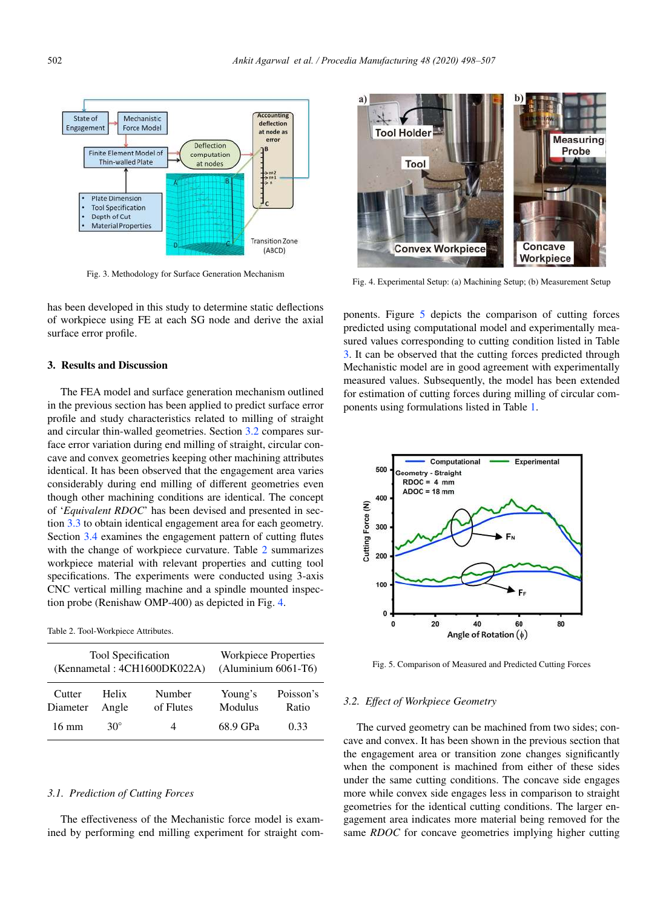

Fig. 3. Methodology for Surface Generation Mechanism

has been developed in this study to determine static deflections of workpiece using FE at each SG node and derive the axial surface error profile.

#### 3. Results and Discussion

The FEA model and surface generation mechanism outlined in the previous section has been applied to predict surface error profile and study characteristics related to milling of straight and circular thin-walled geometries. Section 3.2 compares surface error variation during end milling of straight, circular concave and convex geometries keeping other machining attributes identical. It has been observed that the engagement area varies considerably during end milling of different geometries even though other machining conditions are identical. The concept of '*Equivalent RDOC*' has been devised and presented in section 3.3 to obtain identical engagement area for each geometry. Section 3.4 examines the engagement pattern of cutting flutes with the change of workpiece curvature. Table 2 summarizes workpiece material with relevant properties and cutting tool specifications. The experiments were conducted using 3-axis CNC vertical milling machine and a spindle mounted inspection probe (Renishaw OMP-400) as depicted in Fig. 4.

Table 2. Tool-Workpiece Attributes.

| <b>Tool Specification</b>   |              |           | Workpiece Properties |           |  |
|-----------------------------|--------------|-----------|----------------------|-----------|--|
| (Kennametal: 4CH1600DK022A) |              |           | (Aluminium 6061-T6)  |           |  |
| Cutter                      | <b>Helix</b> | Number    | Young's              | Poisson's |  |
| Diameter                    | Angle        | of Flutes | Modulus              | Ratio     |  |
| 16 mm                       | 30°          | 4         | 68.9 GPa             | 0.33      |  |

#### *3.1. Prediction of Cutting Forces*

The effectiveness of the Mechanistic force model is examined by performing end milling experiment for straight com-



Fig. 4. Experimental Setup: (a) Machining Setup; (b) Measurement Setup

ponents. Figure 5 depicts the comparison of cutting forces predicted using computational model and experimentally measured values corresponding to cutting condition listed in Table 3. It can be observed that the cutting forces predicted through Mechanistic model are in good agreement with experimentally measured values. Subsequently, the model has been extended for estimation of cutting forces during milling of circular components using formulations listed in Table 1.



Fig. 5. Comparison of Measured and Predicted Cutting Forces

#### *3.2. E*ff*ect of Workpiece Geometry*

The curved geometry can be machined from two sides; concave and convex. It has been shown in the previous section that the engagement area or transition zone changes significantly when the component is machined from either of these sides under the same cutting conditions. The concave side engages more while convex side engages less in comparison to straight geometries for the identical cutting conditions. The larger engagement area indicates more material being removed for the same *RDOC* for concave geometries implying higher cutting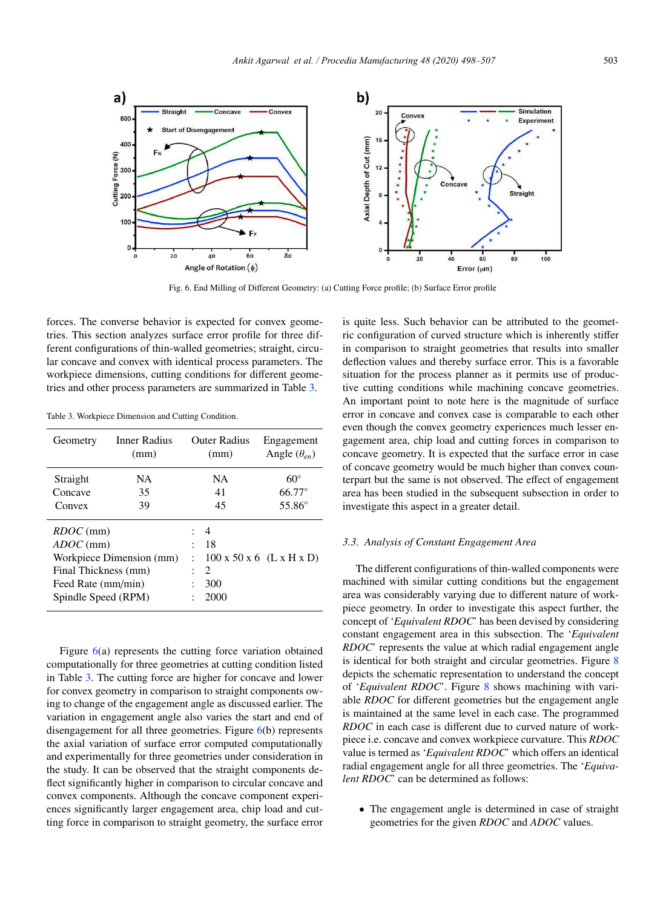

Fig. 6. End Milling of Different Geometry: (a) Cutting Force profile; (b) Surface Error profile

forces. The converse behavior is expected for convex geometries. This section analyzes surface error profile for three different configurations of thin-walled geometries; straight, circular concave and convex with identical process parameters. The workpiece dimensions, cutting conditions for different geometries and other process parameters are summarized in Table 3.

| Geometry                                                                                                                    | Inner Radius<br>(mm) |                      | Outer Radius<br>(mm)         | Engagement<br>Angle $(\theta_{en})$  |
|-----------------------------------------------------------------------------------------------------------------------------|----------------------|----------------------|------------------------------|--------------------------------------|
| Straight                                                                                                                    | NА                   |                      | NA                           | $60^{\circ}$                         |
| Concave                                                                                                                     | 35                   |                      | 41                           | $66.77^{\circ}$                      |
| Convex                                                                                                                      | 39                   |                      | 45                           | 55.86°                               |
| $RDOC$ (mm)<br>$ADOC$ (mm)<br>Workpiece Dimension (mm)<br>Final Thickness (mm)<br>Feed Rate (mm/min)<br>Spindle Speed (RPM) |                      | $\ddot{\phantom{0}}$ | 4<br>-18<br>2<br>300<br>2000 | $100 \times 50 \times 6$ (L x H x D) |

Table 3. Workpiece Dimension and Cutting Condition.

Figure 6(a) represents the cutting force variation obtained computationally for three geometries at cutting condition listed in Table 3. The cutting force are higher for concave and lower for convex geometry in comparison to straight components owing to change of the engagement angle as discussed earlier. The variation in engagement angle also varies the start and end of disengagement for all three geometries. Figure 6(b) represents the axial variation of surface error computed computationally and experimentally for three geometries under consideration in the study. It can be observed that the straight components deflect significantly higher in comparison to circular concave and convex components. Although the concave component experiences significantly larger engagement area, chip load and cutting force in comparison to straight geometry, the surface error is quite less. Such behavior can be attributed to the geometric configuration of curved structure which is inherently stiffer in comparison to straight geometries that results into smaller deflection values and thereby surface error. This is a favorable situation for the process planner as it permits use of productive cutting conditions while machining concave geometries. An important point to note here is the magnitude of surface error in concave and convex case is comparable to each other even though the convex geometry experiences much lesser engagement area, chip load and cutting forces in comparison to concave geometry. It is expected that the surface error in case of concave geometry would be much higher than convex counterpart but the same is not observed. The effect of engagement area has been studied in the subsequent subsection in order to investigate this aspect in a greater detail.

#### *3.3. Analysis of Constant Engagement Area*

The different configurations of thin-walled components were machined with similar cutting conditions but the engagement area was considerably varying due to different nature of workpiece geometry. In order to investigate this aspect further, the concept of '*Equivalent RDOC*' has been devised by considering constant engagement area in this subsection. The '*Equivalent RDOC*' represents the value at which radial engagement angle is identical for both straight and circular geometries. Figure 8 depicts the schematic representation to understand the concept of '*Equivalent RDOC*'. Figure 8 shows machining with variable *RDOC* for different geometries but the engagement angle is maintained at the same level in each case. The programmed *RDOC* in each case is different due to curved nature of workpiece i.e. concave and convex workpiece curvature. This *RDOC* value is termed as '*Equivalent RDOC*' which offers an identical radial engagement angle for all three geometries. The '*Equivalent RDOC*' can be determined as follows:

• The engagement angle is determined in case of straight geometries for the given *RDOC* and *ADOC* values.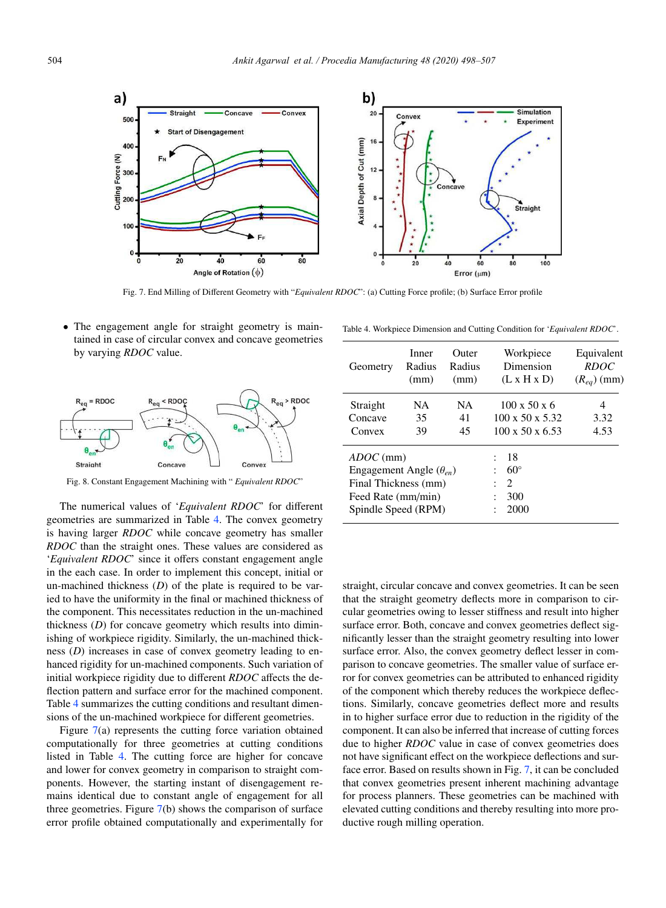

Fig. 7. End Milling of Different Geometry with "*Equivalent RDOC*": (a) Cutting Force profile; (b) Surface Error profile

• The engagement angle for straight geometry is maintained in case of circular convex and concave geometries by varying *RDOC* value.



Fig. 8. Constant Engagement Machining with " *Equivalent RDOC*"

The numerical values of '*Equivalent RDOC*' for different geometries are summarized in Table 4. The convex geometry is having larger *RDOC* while concave geometry has smaller *RDOC* than the straight ones. These values are considered as '*Equivalent RDOC*' since it offers constant engagement angle in the each case. In order to implement this concept, initial or un-machined thickness (*D*) of the plate is required to be varied to have the uniformity in the final or machined thickness of the component. This necessitates reduction in the un-machined thickness (*D*) for concave geometry which results into diminishing of workpiece rigidity. Similarly, the un-machined thickness (*D*) increases in case of convex geometry leading to enhanced rigidity for un-machined components. Such variation of initial workpiece rigidity due to different *RDOC* affects the deflection pattern and surface error for the machined component. Table 4 summarizes the cutting conditions and resultant dimensions of the un-machined workpiece for different geometries.

Figure 7(a) represents the cutting force variation obtained computationally for three geometries at cutting conditions listed in Table 4. The cutting force are higher for concave and lower for convex geometry in comparison to straight components. However, the starting instant of disengagement remains identical due to constant angle of engagement for all three geometries. Figure 7(b) shows the comparison of surface error profile obtained computationally and experimentally for

Table 4. Workpiece Dimension and Cutting Condition for '*Equivalent RDOC*'.

| Geometry                         | Inner<br>Radius<br>(mm) | Outer<br>Radius<br>(mm) | Workpiece<br>Dimension<br>(L x H x D) |              | Equivalent<br><b>RDOC</b><br>$(R_{eq})$ (mm) |
|----------------------------------|-------------------------|-------------------------|---------------------------------------|--------------|----------------------------------------------|
| Straight                         | NA.                     | <b>NA</b>               | $100 \times 50 \times 6$              |              | 4                                            |
| Concave                          | 35                      | 41                      | $100 \times 50 \times 5.32$           |              | 3.32                                         |
| Convex                           | 39                      | 45                      | $100 \times 50 \times 6.53$           |              | 4.53                                         |
| $ADOC$ (mm)                      |                         |                         |                                       | 18           |                                              |
| Engagement Angle $(\theta_{en})$ |                         |                         |                                       | $60^{\circ}$ |                                              |
| Final Thickness (mm)             |                         |                         |                                       | 2            |                                              |
| Feed Rate (mm/min)               |                         |                         |                                       | 300          |                                              |
| Spindle Speed (RPM)              |                         |                         |                                       | 2000         |                                              |

straight, circular concave and convex geometries. It can be seen that the straight geometry deflects more in comparison to circular geometries owing to lesser stiffness and result into higher surface error. Both, concave and convex geometries deflect significantly lesser than the straight geometry resulting into lower surface error. Also, the convex geometry deflect lesser in comparison to concave geometries. The smaller value of surface error for convex geometries can be attributed to enhanced rigidity of the component which thereby reduces the workpiece deflections. Similarly, concave geometries deflect more and results in to higher surface error due to reduction in the rigidity of the component. It can also be inferred that increase of cutting forces due to higher *RDOC* value in case of convex geometries does not have significant effect on the workpiece deflections and surface error. Based on results shown in Fig. 7, it can be concluded that convex geometries present inherent machining advantage for process planners. These geometries can be machined with elevated cutting conditions and thereby resulting into more productive rough milling operation.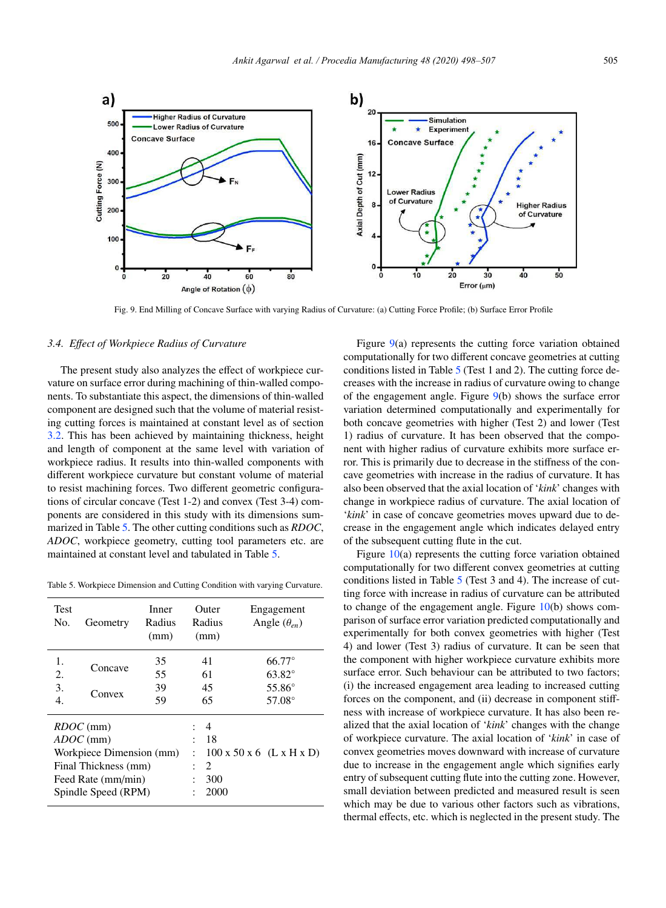

Fig. 9. End Milling of Concave Surface with varying Radius of Curvature: (a) Cutting Force Profile; (b) Surface Error Profile

#### *3.4. E*ff*ect of Workpiece Radius of Curvature*

The present study also analyzes the effect of workpiece curvature on surface error during machining of thin-walled components. To substantiate this aspect, the dimensions of thin-walled component are designed such that the volume of material resisting cutting forces is maintained at constant level as of section 3.2. This has been achieved by maintaining thickness, height and length of component at the same level with variation of workpiece radius. It results into thin-walled components with different workpiece curvature but constant volume of material to resist machining forces. Two different geometric configurations of circular concave (Test 1-2) and convex (Test 3-4) components are considered in this study with its dimensions summarized in Table 5. The other cutting conditions such as *RDOC*, *ADOC*, workpiece geometry, cutting tool parameters etc. are maintained at constant level and tabulated in Table 5.

Table 5. Workpiece Dimension and Cutting Condition with varying Curvature.

| <b>Test</b><br>No.                                                                                                          | Geometry          | Inner<br>Radius<br>(mm)                                                    | Outer<br>Radius<br>(mm)              | Engagement<br>Angle $(\theta_{en})$                       |
|-----------------------------------------------------------------------------------------------------------------------------|-------------------|----------------------------------------------------------------------------|--------------------------------------|-----------------------------------------------------------|
| 1.<br>2.<br>3.<br>4.                                                                                                        | Concave<br>Convex | 35<br>55<br>39<br>59                                                       | 41<br>61<br>45<br>65                 | $66.77^\circ$<br>$63.82^\circ$<br>55.86°<br>$57.08^\circ$ |
| $RDOC$ (mm)<br>$ADOC$ (mm)<br>Workpiece Dimension (mm)<br>Final Thickness (mm)<br>Feed Rate (mm/min)<br>Spindle Speed (RPM) |                   | 4<br>٠<br>18<br>$\ddot{\cdot}$<br>2<br>$\ddot{\phantom{0}}$<br>300<br>2000 | $100 \times 50 \times 6$ (L x H x D) |                                                           |

Figure 9(a) represents the cutting force variation obtained computationally for two different concave geometries at cutting conditions listed in Table 5 (Test 1 and 2). The cutting force decreases with the increase in radius of curvature owing to change of the engagement angle. Figure 9(b) shows the surface error variation determined computationally and experimentally for both concave geometries with higher (Test 2) and lower (Test 1) radius of curvature. It has been observed that the component with higher radius of curvature exhibits more surface error. This is primarily due to decrease in the stiffness of the concave geometries with increase in the radius of curvature. It has also been observed that the axial location of '*kink*' changes with change in workpiece radius of curvature. The axial location of '*kink*' in case of concave geometries moves upward due to decrease in the engagement angle which indicates delayed entry of the subsequent cutting flute in the cut.

Figure 10(a) represents the cutting force variation obtained computationally for two different convex geometries at cutting conditions listed in Table 5 (Test 3 and 4). The increase of cutting force with increase in radius of curvature can be attributed to change of the engagement angle. Figure  $10(b)$  shows comparison of surface error variation predicted computationally and experimentally for both convex geometries with higher (Test 4) and lower (Test 3) radius of curvature. It can be seen that the component with higher workpiece curvature exhibits more surface error. Such behaviour can be attributed to two factors; (i) the increased engagement area leading to increased cutting forces on the component, and (ii) decrease in component stiffness with increase of workpiece curvature. It has also been realized that the axial location of '*kink*' changes with the change of workpiece curvature. The axial location of '*kink*' in case of convex geometries moves downward with increase of curvature due to increase in the engagement angle which signifies early entry of subsequent cutting flute into the cutting zone. However, small deviation between predicted and measured result is seen which may be due to various other factors such as vibrations, thermal effects, etc. which is neglected in the present study. The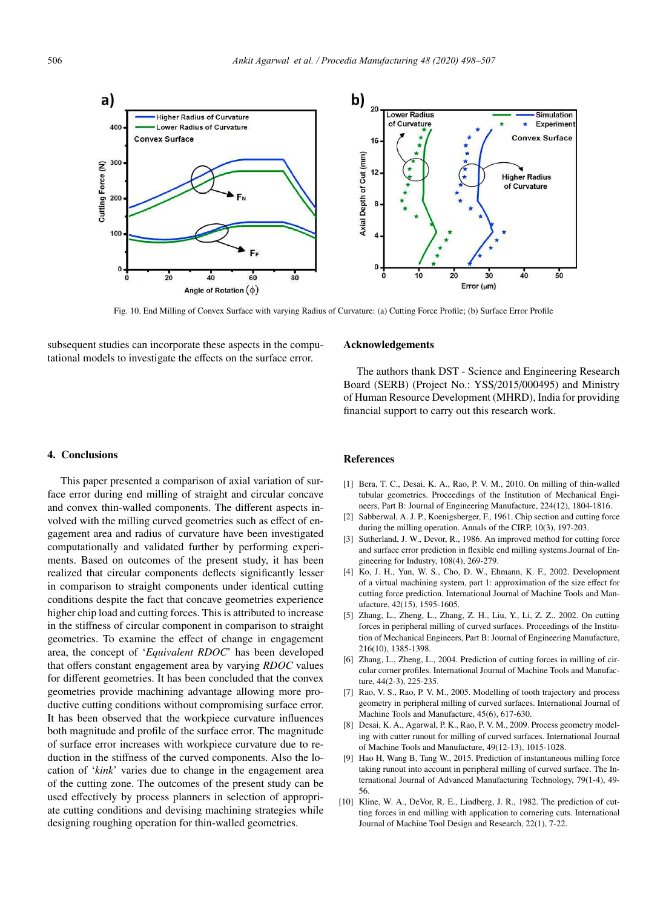

Fig. 10. End Milling of Convex Surface with varying Radius of Curvature: (a) Cutting Force Profile; (b) Surface Error Profile

subsequent studies can incorporate these aspects in the computational models to investigate the effects on the surface error.

#### Acknowledgements

The authors thank DST - Science and Engineering Research Board (SERB) (Project No.: YSS/2015/000495) and Ministry of Human Resource Development (MHRD), India for providing financial support to carry out this research work.

## 4. Conclusions

This paper presented a comparison of axial variation of surface error during end milling of straight and circular concave and convex thin-walled components. The different aspects involved with the milling curved geometries such as effect of engagement area and radius of curvature have been investigated computationally and validated further by performing experiments. Based on outcomes of the present study, it has been realized that circular components deflects significantly lesser in comparison to straight components under identical cutting conditions despite the fact that concave geometries experience higher chip load and cutting forces. This is attributed to increase in the stiffness of circular component in comparison to straight geometries. To examine the effect of change in engagement area, the concept of '*Equivalent RDOC*' has been developed that offers constant engagement area by varying *RDOC* values for different geometries. It has been concluded that the convex geometries provide machining advantage allowing more productive cutting conditions without compromising surface error. It has been observed that the workpiece curvature influences both magnitude and profile of the surface error. The magnitude of surface error increases with workpiece curvature due to reduction in the stiffness of the curved components. Also the location of '*kink*' varies due to change in the engagement area of the cutting zone. The outcomes of the present study can be used effectively by process planners in selection of appropriate cutting conditions and devising machining strategies while designing roughing operation for thin-walled geometries.

#### References

- [1] Bera, T. C., Desai, K. A., Rao, P. V. M., 2010. On milling of thin-walled tubular geometries. Proceedings of the Institution of Mechanical Engineers, Part B: Journal of Engineering Manufacture, 224(12), 1804-1816.
- [2] Sabberwal, A. J. P., Koenigsberger, F., 1961. Chip section and cutting force during the milling operation. Annals of the CIRP, 10(3), 197-203.
- [3] Sutherland, J. W., Devor, R., 1986. An improved method for cutting force and surface error prediction in flexible end milling systems.Journal of Engineering for Industry, 108(4), 269-279.
- [4] Ko, J. H., Yun, W. S., Cho, D. W., Ehmann, K. F., 2002. Development of a virtual machining system, part 1: approximation of the size effect for cutting force prediction. International Journal of Machine Tools and Manufacture, 42(15), 1595-1605.
- [5] Zhang, L., Zheng, L., Zhang, Z. H., Liu, Y., Li, Z. Z., 2002. On cutting forces in peripheral milling of curved surfaces. Proceedings of the Institution of Mechanical Engineers, Part B: Journal of Engineering Manufacture, 216(10), 1385-1398.
- [6] Zhang, L., Zheng, L., 2004. Prediction of cutting forces in milling of circular corner profiles. International Journal of Machine Tools and Manufacture, 44(2-3), 225-235.
- [7] Rao, V. S., Rao, P. V. M., 2005. Modelling of tooth trajectory and process geometry in peripheral milling of curved surfaces. International Journal of Machine Tools and Manufacture, 45(6), 617-630.
- [8] Desai, K. A., Agarwal, P. K., Rao, P. V. M., 2009. Process geometry modeling with cutter runout for milling of curved surfaces. International Journal of Machine Tools and Manufacture, 49(12-13), 1015-1028.
- [9] Hao H, Wang B, Tang W., 2015. Prediction of instantaneous milling force taking runout into account in peripheral milling of curved surface. The International Journal of Advanced Manufacturing Technology, 79(1-4), 49- 56.
- [10] Kline, W. A., DeVor, R. E., Lindberg, J. R., 1982. The prediction of cutting forces in end milling with application to cornering cuts. International Journal of Machine Tool Design and Research, 22(1), 7-22.